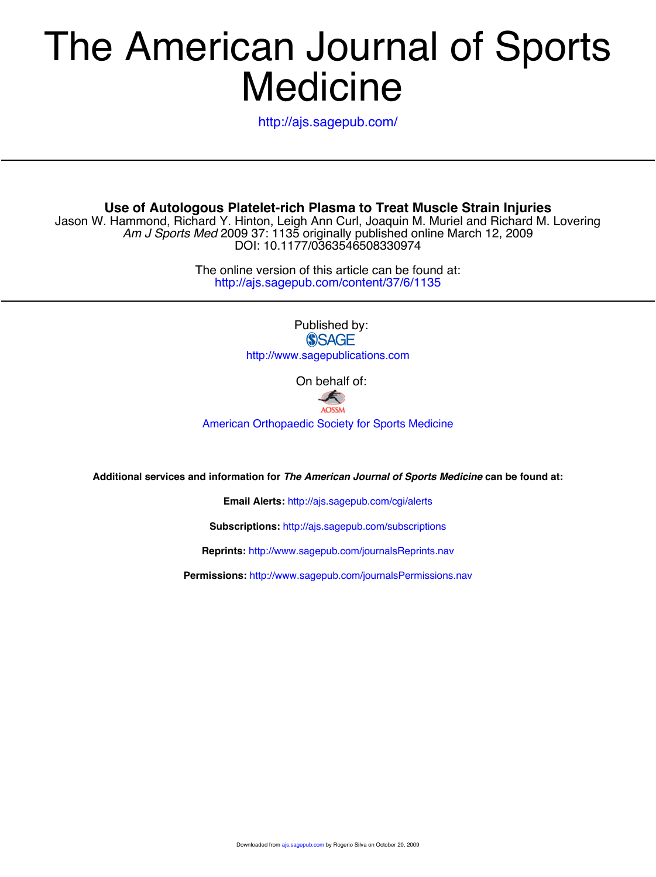# **Medicine** The American Journal of Sports

<http://ajs.sagepub.com/>

**Use of Autologous Platelet-rich Plasma to Treat Muscle Strain Injuries**

DOI: 10.1177/0363546508330974 *Am J Sports Med* 2009 37: 1135 originally published online March 12, 2009 Jason W. Hammond, Richard Y. Hinton, Leigh Ann Curl, Joaquin M. Muriel and Richard M. Lovering

> http://ajs.sagepub.com/content/37/6/1135 The online version of this article can be found at:

> > Published by:<br>
> > SAGE http://www.sagepublications.com

> > > On behalf of:



[American Orthopaedic Society for Sports Medicine](http://www.aossm.org)

**Additional services and information for** *The American Journal of Sports Medicine* **can be found at:**

**Email Alerts:** <http://ajs.sagepub.com/cgi/alerts>

**Subscriptions:** <http://ajs.sagepub.com/subscriptions>

**Reprints:** <http://www.sagepub.com/journalsReprints.nav>

**Permissions:** <http://www.sagepub.com/journalsPermissions.nav>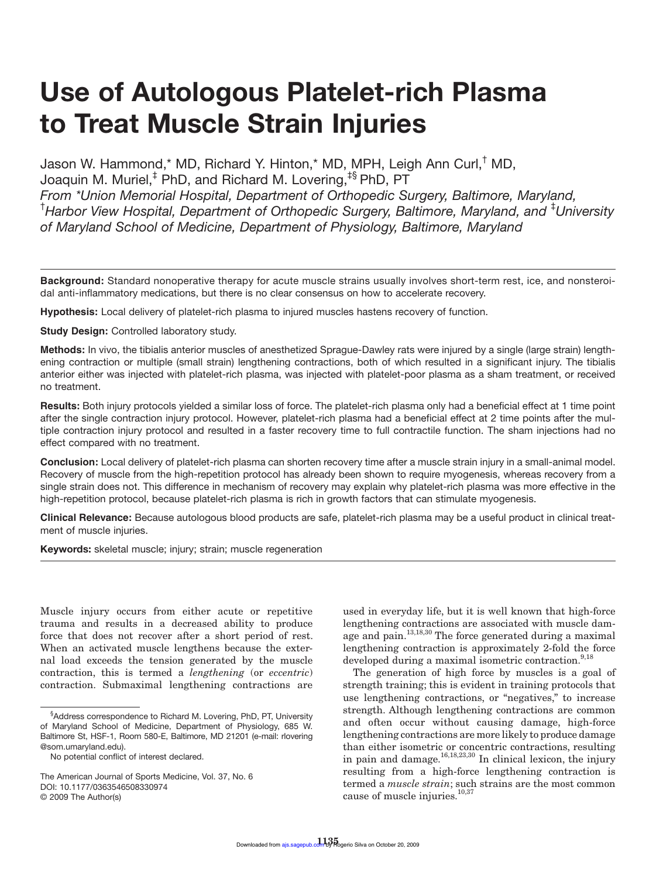# **Use of Autologous Platelet-rich Plasma to Treat Muscle Strain Injuries**

Jason W. Hammond,\* MD, Richard Y. Hinton,\* MD, MPH, Leigh Ann Curl,† MD, Joaquin M. Muriel,<sup>‡</sup> PhD, and Richard M. Lovering,<sup>‡§</sup> PhD, PT *From \*Union Memorial Hospital, Department of Orthopedic Surgery, Baltimore, Maryland,*  <sup>†</sup> Harbor View Hospital, Department of Orthopedic Surgery, Baltimore, Maryland, and <sup>‡</sup>University *of Maryland School of Medicine, Department of Physiology, Baltimore, Maryland* 

**Background:** Standard nonoperative therapy for acute muscle strains usually involves short-term rest, ice, and nonsteroidal anti-inflammatory medications, but there is no clear consensus on how to accelerate recovery.

**Hypothesis:** Local delivery of platelet-rich plasma to injured muscles hastens recovery of function.

**Study Design:** Controlled laboratory study.

**Methods:** In vivo, the tibialis anterior muscles of anesthetized Sprague-Dawley rats were injured by a single (large strain) lengthening contraction or multiple (small strain) lengthening contractions, both of which resulted in a significant injury. The tibialis anterior either was injected with platelet-rich plasma, was injected with platelet-poor plasma as a sham treatment, or received no treatment.

**Results:** Both injury protocols yielded a similar loss of force. The platelet-rich plasma only had a beneficial effect at 1 time point after the single contraction injury protocol. However, platelet-rich plasma had a beneficial effect at 2 time points after the multiple contraction injury protocol and resulted in a faster recovery time to full contractile function. The sham injections had no effect compared with no treatment.

**Conclusion:** Local delivery of platelet-rich plasma can shorten recovery time after a muscle strain injury in a small-animal model. Recovery of muscle from the high-repetition protocol has already been shown to require myogenesis, whereas recovery from a single strain does not. This difference in mechanism of recovery may explain why platelet-rich plasma was more effective in the high-repetition protocol, because platelet-rich plasma is rich in growth factors that can stimulate myogenesis.

**Clinical Relevance:** Because autologous blood products are safe, platelet-rich plasma may be a useful product in clinical treatment of muscle injuries.

**Keywords:** skeletal muscle; injury; strain; muscle regeneration

Muscle injury occurs from either acute or repetitive trauma and results in a decreased ability to produce force that does not recover after a short period of rest. When an activated muscle lengthens because the external load exceeds the tension generated by the muscle contraction, this is termed a *lengthening* (or *eccentric*) contraction. Submaximal lengthening contractions are

used in everyday life, but it is well known that high-force lengthening contractions are associated with muscle damage and pain. $13,18,30$  The force generated during a maximal lengthening contraction is approximately 2-fold the force developed during a maximal isometric contraction.<sup>9,18</sup>

The generation of high force by muscles is a goal of strength training; this is evident in training protocols that use lengthening contractions, or "negatives," to increase strength. Although lengthening contractions are common and often occur without causing damage, high-force lengthening contractions are more likely to produce damage than either isometric or concentric contractions, resulting in pain and damage.<sup>16,18,23,30</sup> In clinical lexicon, the injury resulting from a high-force lengthening contraction is termed a *muscle strain*; such strains are the most common cause of muscle injuries.<sup>10,37</sup>

<sup>§</sup> Address correspondence to Richard M. Lovering, PhD, PT, University of Maryland School of Medicine, Department of Physiology, 685 W. Baltimore St, HSF-1, Room 580-E, Baltimore, MD 21201 (e-mail: rlovering @som.umaryland.edu).

No potential conflict of interest declared.

The American Journal of Sports Medicine, Vol. 37, No. 6 DOI: 10.1177/0363546508330974 © 2009 The Author(s)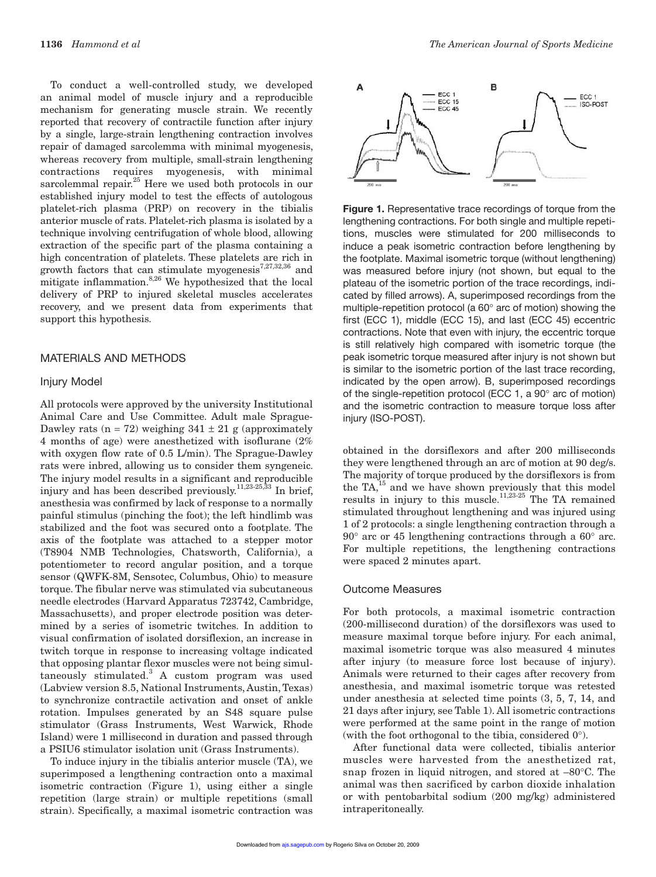To conduct a well-controlled study, we developed an animal model of muscle injury and a reproducible mechanism for generating muscle strain. We recently reported that recovery of contractile function after injury by a single, large-strain lengthening contraction involves repair of damaged sarcolemma with minimal myogenesis, whereas recovery from multiple, small-strain lengthening contractions requires myogenesis, with minimal sarcolemmal repair.<sup>25</sup> Here we used both protocols in our established injury model to test the effects of autologous platelet-rich plasma (PRP) on recovery in the tibialis anterior muscle of rats. Platelet-rich plasma is isolated by a technique involving centrifugation of whole blood, allowing extraction of the specific part of the plasma containing a high concentration of platelets. These platelets are rich in growth factors that can stimulate myogenesis<sup>7,27,32,36</sup> and mitigate inflammation.8,26 We hypothesized that the local delivery of PRP to injured skeletal muscles accelerates recovery, and we present data from experiments that support this hypothesis.

#### MATERIALS AND METHODS

#### Injury Model

All protocols were approved by the university Institutional Animal Care and Use Committee. Adult male Sprague-Dawley rats (n = 72) weighing  $341 \pm 21$  g (approximately 4 months of age) were anesthetized with isoflurane (2% with oxygen flow rate of 0.5 L/min). The Sprague-Dawley rats were inbred, allowing us to consider them syngeneic. The injury model results in a significant and reproducible injury and has been described previously.<sup>11,23-25,33</sup> In brief, anesthesia was confirmed by lack of response to a normally painful stimulus (pinching the foot); the left hindlimb was stabilized and the foot was secured onto a footplate. The axis of the footplate was attached to a stepper motor (T8904 NMB Technologies, Chatsworth, California), a potentiometer to record angular position, and a torque sensor (QWFK-8M, Sensotec, Columbus, Ohio) to measure torque. The fibular nerve was stimulated via subcutaneous needle electrodes (Harvard Apparatus 723742, Cambridge, Massachusetts), and proper electrode position was determined by a series of isometric twitches. In addition to visual confirmation of isolated dorsiflexion, an increase in twitch torque in response to increasing voltage indicated that opposing plantar flexor muscles were not being simultaneously stimulated.<sup>3</sup> A custom program was used (Labview version 8.5, National Instruments, Austin, Texas) to synchronize contractile activation and onset of ankle rotation. Impulses generated by an S48 square pulse stimulator (Grass Instruments, West Warwick, Rhode Island) were 1 millisecond in duration and passed through a PSIU6 stimulator isolation unit (Grass Instruments).

To induce injury in the tibialis anterior muscle (TA), we superimposed a lengthening contraction onto a maximal isometric contraction (Figure 1), using either a single repetition (large strain) or multiple repetitions (small strain). Specifically, a maximal isometric contraction was



**Figure 1.** Representative trace recordings of torque from the lengthening contractions. For both single and multiple repetitions, muscles were stimulated for 200 milliseconds to induce a peak isometric contraction before lengthening by the footplate. Maximal isometric torque (without lengthening) was measured before injury (not shown, but equal to the plateau of the isometric portion of the trace recordings, indicated by filled arrows). A, superimposed recordings from the multiple-repetition protocol (a  $60^\circ$  arc of motion) showing the first (ECC 1), middle (ECC 15), and last (ECC 45) eccentric contractions. Note that even with injury, the eccentric torque is still relatively high compared with isometric torque (the peak isometric torque measured after injury is not shown but is similar to the isometric portion of the last trace recording, indicated by the open arrow). B, superimposed recordings of the single-repetition protocol (ECC 1, a  $90^\circ$  arc of motion) and the isometric contraction to measure torque loss after injury (ISO-POST).

obtained in the dorsiflexors and after 200 milliseconds they were lengthened through an arc of motion at 90 deg/s. The majority of torque produced by the dorsiflexors is from the  $TA<sub>15</sub><sup>15</sup>$  and we have shown previously that this model results in injury to this muscle.<sup>11,23-25</sup> The TA remained stimulated throughout lengthening and was injured using 1 of 2 protocols: a single lengthening contraction through a  $90^{\circ}$  arc or 45 lengthening contractions through a  $60^{\circ}$  arc. For multiple repetitions, the lengthening contractions were spaced 2 minutes apart.

#### Outcome Measures

For both protocols, a maximal isometric contraction (200-millisecond duration) of the dorsiflexors was used to measure maximal torque before injury. For each animal, maximal isometric torque was also measured 4 minutes after injury (to measure force lost because of injury). Animals were returned to their cages after recovery from anesthesia, and maximal isometric torque was retested under anesthesia at selected time points (3, 5, 7, 14, and 21 days after injury, see Table 1). All isometric contractions were performed at the same point in the range of motion (with the foot orthogonal to the tibia, considered  $0^{\circ}$ ).

After functional data were collected, tibialis anterior muscles were harvested from the anesthetized rat, snap frozen in liquid nitrogen, and stored at  $-80^{\circ}$ C. The animal was then sacrificed by carbon dioxide inhalation or with pentobarbital sodium (200 mg/kg) administered intraperitoneally.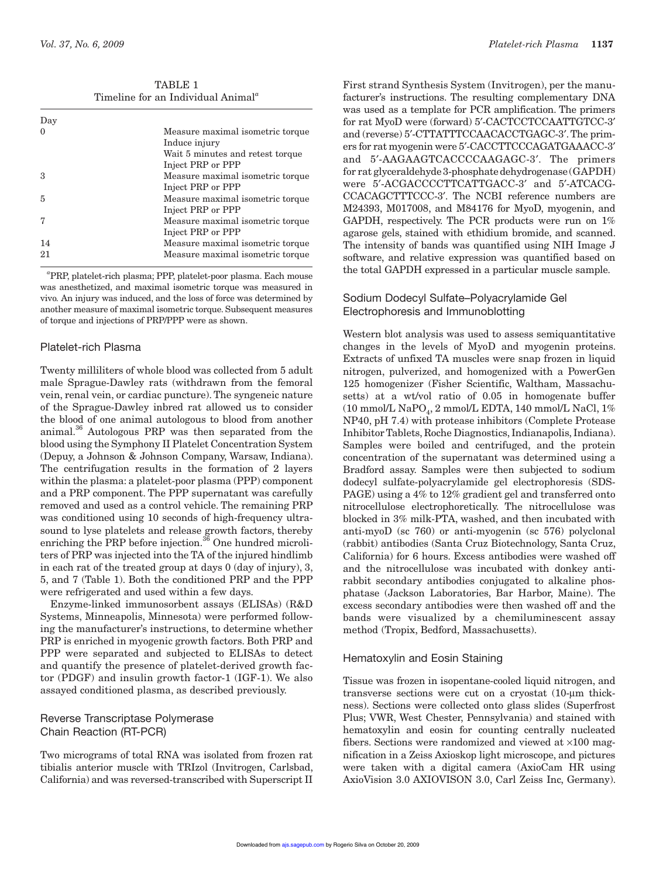TABLE 1 Timeline for an Individual Animal*<sup>a</sup>*

| Day |                                   |
|-----|-----------------------------------|
|     | Measure maximal isometric torque. |
|     | Induce injury                     |
|     | Wait 5 minutes and retest torque  |
|     | Inject PRP or PPP                 |
| 3   | Measure maximal isometric torque  |
|     | Inject PRP or PPP                 |
| 5   | Measure maximal isometric torque  |
|     | Inject PRP or PPP                 |
|     | Measure maximal isometric torque  |
|     | Inject PRP or PPP                 |
| 14  | Measure maximal isometric torque. |
| 21  | Measure maximal isometric torque  |
|     |                                   |

*a* PRP, platelet-rich plasma; PPP, platelet-poor plasma. Each mouse was anesthetized, and maximal isometric torque was measured in vivo*.* An injury was induced, and the loss of force was determined by another measure of maximal isometric torque. Subsequent measures of torque and injections of PRP/PPP were as shown.

# Platelet-rich Plasma

Twenty milliliters of whole blood was collected from 5 adult male Sprague-Dawley rats (withdrawn from the femoral vein, renal vein, or cardiac puncture). The syngeneic nature of the Sprague-Dawley inbred rat allowed us to consider the blood of one animal autologous to blood from another animal.36 Autologous PRP was then separated from the blood using the Symphony II Platelet Concentration System (Depuy, a Johnson & Johnson Company, Warsaw, Indiana). The centrifugation results in the formation of 2 layers within the plasma: a platelet-poor plasma (PPP) component and a PRP component. The PPP supernatant was carefully removed and used as a control vehicle. The remaining PRP was conditioned using 10 seconds of high-frequency ultrasound to lyse platelets and release growth factors, thereby enriching the PRP before injection.<sup>36</sup> One hundred microliters of PRP was injected into the TA of the injured hindlimb in each rat of the treated group at days 0 (day of injury), 3, 5, and 7 (Table 1). Both the conditioned PRP and the PPP were refrigerated and used within a few days.

Enzyme-linked immunosorbent assays (ELISAs) (R&D Systems, Minneapolis, Minnesota) were performed following the manufacturer's instructions, to determine whether PRP is enriched in myogenic growth factors. Both PRP and PPP were separated and subjected to ELISAs to detect and quantify the presence of platelet-derived growth factor (PDGF) and insulin growth factor-1 (IGF-1). We also assayed conditioned plasma, as described previously.

# Reverse Transcriptase Polymerase Chain Reaction (RT-PCR)

Two micrograms of total RNA was isolated from frozen rat tibialis anterior muscle with TRIzol (Invitrogen, Carlsbad, California) and was reversed-transcribed with Superscript II

First strand Synthesis System (Invitrogen), per the manufacturer's instructions. The resulting complementary DNA was used as a template for PCR amplification. The primers for rat MyoD were (forward) 5`-CACTCCTCCAATTGTCC-3` and (reverse) 5`-CTTATTTCCAACACCTGAGC-3`. The primers for rat myogenin were 5`-CACCTTCCCAGATGAAACC-3` and 5`-AAGAAGTCACCCCAAGAGC-3`. The primers for rat glyceraldehyde 3-phosphate dehydrogenase (GAPDH) were 5`-ACGACCCCTTCATTGACC-3` and 5`-ATCACG-CCACAGCTTTCCC-3`. The NCBI reference numbers are M24393, M017008, and M84176 for MyoD, myogenin, and GAPDH, respectively. The PCR products were run on 1% agarose gels, stained with ethidium bromide, and scanned. The intensity of bands was quantified using NIH Image J software, and relative expression was quantified based on the total GAPDH expressed in a particular muscle sample.

# Sodium Dodecyl Sulfate–Polyacrylamide Gel Electrophoresis and Immunoblotting

Western blot analysis was used to assess semiquantitative changes in the levels of MyoD and myogenin proteins. Extracts of unfixed TA muscles were snap frozen in liquid nitrogen, pulverized, and homogenized with a PowerGen 125 homogenizer (Fisher Scientific, Waltham, Massachusetts) at a wt/vol ratio of 0.05 in homogenate buffer (10 mmol/L NaPO<sub>4</sub>, 2 mmol/L EDTA, 140 mmol/L NaCl, 1%) NP40, pH 7.4) with protease inhibitors (Complete Protease Inhibitor Tablets, Roche Diagnostics, Indianapolis, Indiana). Samples were boiled and centrifuged, and the protein concentration of the supernatant was determined using a Bradford assay. Samples were then subjected to sodium dodecyl sulfate-polyacrylamide gel electrophoresis (SDS-PAGE) using a 4% to 12% gradient gel and transferred onto nitrocellulose electrophoretically. The nitrocellulose was blocked in 3% milk-PTA, washed, and then incubated with anti-myoD (sc 760) or anti-myogenin (sc 576) polyclonal (rabbit) antibodies (Santa Cruz Biotechnology, Santa Cruz, California) for 6 hours. Excess antibodies were washed off and the nitrocellulose was incubated with donkey antirabbit secondary antibodies conjugated to alkaline phosphatase (Jackson Laboratories, Bar Harbor, Maine). The excess secondary antibodies were then washed off and the bands were visualized by a chemiluminescent assay method (Tropix, Bedford, Massachusetts).

# Hematoxylin and Eosin Staining

Tissue was frozen in isopentane-cooled liquid nitrogen, and transverse sections were cut on a cryostat (10-um thickness). Sections were collected onto glass slides (Superfrost Plus; VWR, West Chester, Pennsylvania) and stained with hematoxylin and eosin for counting centrally nucleated fibers. Sections were randomized and viewed at  $\times 100$  magnification in a Zeiss Axioskop light microscope, and pictures were taken with a digital camera (AxioCam HR using AxioVision 3.0 AXIOVISON 3.0, Carl Zeiss Inc, Germany).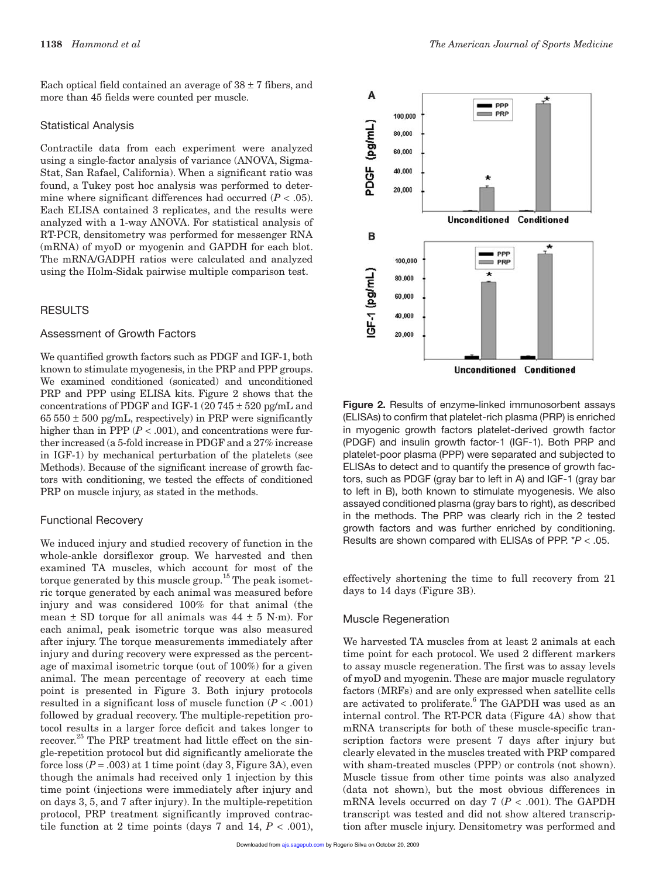Each optical field contained an average of  $38 \pm 7$  fibers, and more than 45 fields were counted per muscle.

#### Statistical Analysis

Contractile data from each experiment were analyzed using a single-factor analysis of variance (ANOVA, Sigma-Stat, San Rafael, California). When a significant ratio was found, a Tukey post hoc analysis was performed to determine where significant differences had occurred  $(P < .05)$ . Each ELISA contained 3 replicates, and the results were analyzed with a 1-way ANOVA. For statistical analysis of RT-PCR, densitometry was performed for messenger RNA (mRNA) of myoD or myogenin and GAPDH for each blot. The mRNA/GADPH ratios were calculated and analyzed using the Holm-Sidak pairwise multiple comparison test.

### **RESULTS**

# Assessment of Growth Factors

We quantified growth factors such as PDGF and IGF-1, both known to stimulate myogenesis, in the PRP and PPP groups. We examined conditioned (sonicated) and unconditioned PRP and PPP using ELISA kits. Figure 2 shows that the concentrations of PDGF and IGF-1 (20 745  $\pm$  520 pg/mL and  $65 550 \pm 500$  pg/mL, respectively) in PRP were significantly higher than in PPP  $(P < .001)$ , and concentrations were further increased (a 5-fold increase in PDGF and a 27% increase in IGF-1) by mechanical perturbation of the platelets (see Methods). Because of the significant increase of growth factors with conditioning, we tested the effects of conditioned PRP on muscle injury, as stated in the methods.

#### Functional Recovery

We induced injury and studied recovery of function in the whole-ankle dorsiflexor group. We harvested and then examined TA muscles, which account for most of the torque generated by this muscle group.<sup>15</sup> The peak isometric torque generated by each animal was measured before injury and was considered 100% for that animal (the mean  $\pm$  SD torque for all animals was 44  $\pm$  5 N·m). For each animal, peak isometric torque was also measured after injury. The torque measurements immediately after injury and during recovery were expressed as the percentage of maximal isometric torque (out of 100%) for a given animal. The mean percentage of recovery at each time point is presented in Figure 3. Both injury protocols resulted in a significant loss of muscle function  $(P < .001)$ followed by gradual recovery. The multiple-repetition protocol results in a larger force deficit and takes longer to recover.<sup>25</sup> The PRP treatment had little effect on the single-repetition protocol but did significantly ameliorate the force  $\cos(P = .003)$  at 1 time point (day 3, Figure 3A), even though the animals had received only 1 injection by this time point (injections were immediately after injury and on days 3, 5, and 7 after injury). In the multiple-repetition protocol, PRP treatment significantly improved contractile function at 2 time points (days 7 and 14,  $P < .001$ ),



**Figure 2.** Results of enzyme-linked immunosorbent assays (ELISAs) to confirm that platelet-rich plasma (PRP) is enriched in myogenic growth factors platelet-derived growth factor (PDGF) and insulin growth factor-1 (IGF-1). Both PRP and platelet-poor plasma (PPP) were separated and subjected to ELISAs to detect and to quantify the presence of growth factors, such as PDGF (gray bar to left in A) and IGF-1 (gray bar to left in B), both known to stimulate myogenesis. We also assayed conditioned plasma (gray bars to right), as described in the methods. The PRP was clearly rich in the 2 tested growth factors and was further enriched by conditioning. Results are shown compared with ELISAs of PPP. \**P* < .05.

effectively shortening the time to full recovery from 21 days to 14 days (Figure 3B).

#### Muscle Regeneration

We harvested TA muscles from at least 2 animals at each time point for each protocol. We used 2 different markers to assay muscle regeneration. The first was to assay levels of myoD and myogenin. These are major muscle regulatory factors (MRFs) and are only expressed when satellite cells are activated to proliferate.<sup>6</sup> The GAPDH was used as an internal control. The RT-PCR data (Figure 4A) show that mRNA transcripts for both of these muscle-specific transcription factors were present 7 days after injury but clearly elevated in the muscles treated with PRP compared with sham-treated muscles (PPP) or controls (not shown). Muscle tissue from other time points was also analyzed (data not shown), but the most obvious differences in mRNA levels occurred on day  $7 (P < .001)$ . The GAPDH transcript was tested and did not show altered transcription after muscle injury. Densitometry was performed and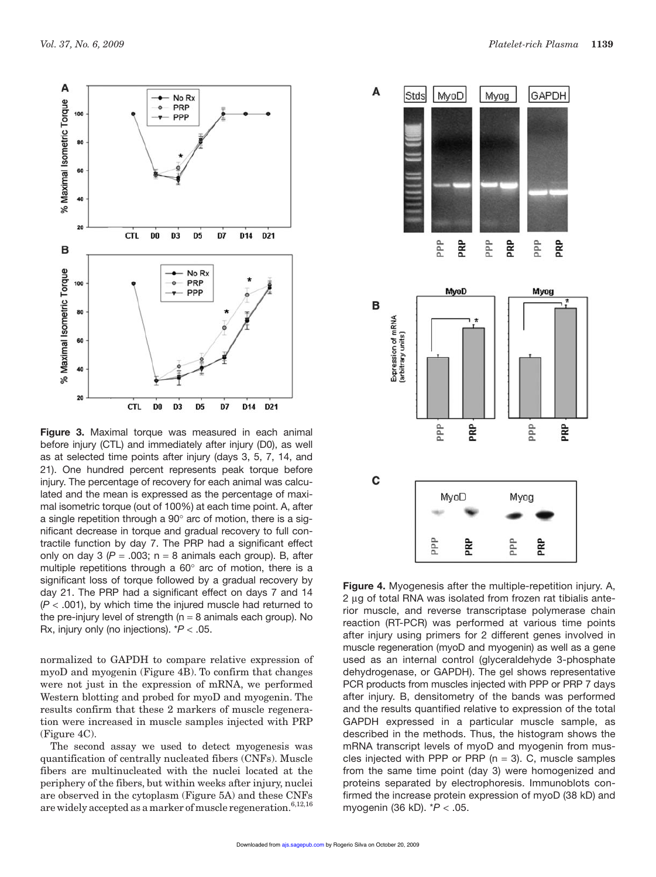

**Figure 3.** Maximal torque was measured in each animal before injury (CTL) and immediately after injury (D0), as well as at selected time points after injury (days 3, 5, 7, 14, and 21). One hundred percent represents peak torque before injury. The percentage of recovery for each animal was calculated and the mean is expressed as the percentage of maximal isometric torque (out of 100%) at each time point. A, after a single repetition through a  $90^\circ$  arc of motion, there is a significant decrease in torque and gradual recovery to full contractile function by day 7. The PRP had a significant effect only on day 3 ( $P = .003$ ; n = 8 animals each group). B, after multiple repetitions through a  $60^\circ$  arc of motion, there is a significant loss of torque followed by a gradual recovery by day 21. The PRP had a significant effect on days 7 and 14  $(P < .001)$ , by which time the injured muscle had returned to the pre-injury level of strength ( $n = 8$  animals each group). No Rx, injury only (no injections). \**P* .05.

normalized to GAPDH to compare relative expression of myoD and myogenin (Figure 4B). To confirm that changes were not just in the expression of mRNA, we performed Western blotting and probed for myoD and myogenin. The results confirm that these 2 markers of muscle regeneration were increased in muscle samples injected with PRP (Figure 4C).

The second assay we used to detect myogenesis was quantification of centrally nucleated fibers (CNFs). Muscle fibers are multinucleated with the nuclei located at the periphery of the fibers, but within weeks after injury, nuclei are observed in the cytoplasm (Figure 5A) and these CNFs are widely accepted as a marker of muscle regeneration.<sup>6,12,16</sup>



**Figure 4.** Myogenesis after the multiple-repetition injury. A, 2 ug of total RNA was isolated from frozen rat tibialis anterior muscle, and reverse transcriptase polymerase chain reaction (RT-PCR) was performed at various time points after injury using primers for 2 different genes involved in muscle regeneration (myoD and myogenin) as well as a gene used as an internal control (glyceraldehyde 3-phosphate dehydrogenase, or GAPDH). The gel shows representative PCR products from muscles injected with PPP or PRP 7 days after injury. B, densitometry of the bands was performed and the results quantified relative to expression of the total GAPDH expressed in a particular muscle sample, as described in the methods. Thus, the histogram shows the mRNA transcript levels of myoD and myogenin from muscles injected with PPP or PRP ( $n = 3$ ). C, muscle samples from the same time point (day 3) were homogenized and proteins separated by electrophoresis. Immunoblots confirmed the increase protein expression of myoD (38 kD) and myogenin (36 kD). \**P* .05.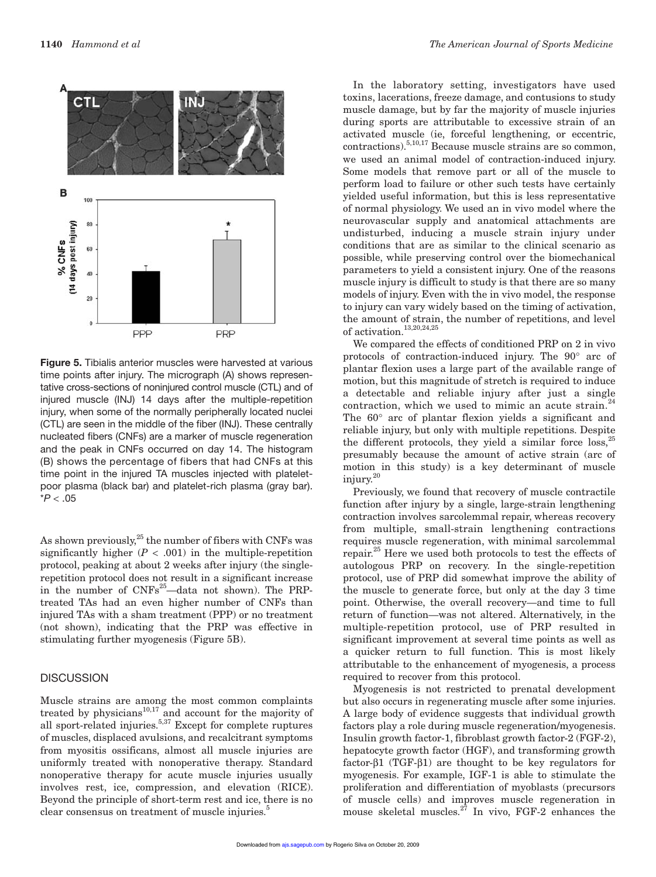

**Figure 5.** Tibialis anterior muscles were harvested at various time points after injury. The micrograph (A) shows representative cross-sections of noninjured control muscle (CTL) and of injured muscle (INJ) 14 days after the multiple-repetition injury, when some of the normally peripherally located nuclei (CTL) are seen in the middle of the fiber (INJ). These centrally nucleated fibers (CNFs) are a marker of muscle regeneration and the peak in CNFs occurred on day 14. The histogram (B) shows the percentage of fibers that had CNFs at this time point in the injured TA muscles injected with plateletpoor plasma (black bar) and platelet-rich plasma (gray bar).  $*P < .05$ 

As shown previously, $25$  the number of fibers with CNFs was significantly higher  $(P < .001)$  in the multiple-repetition protocol, peaking at about 2 weeks after injury (the singlerepetition protocol does not result in a significant increase in the number of  $CNFs^{25}$ —data not shown). The PRPtreated TAs had an even higher number of CNFs than injured TAs with a sham treatment (PPP) or no treatment (not shown), indicating that the PRP was effective in stimulating further myogenesis (Figure 5B).

#### **DISCUSSION**

Muscle strains are among the most common complaints treated by physicians<sup>10,17</sup> and account for the majority of treated by physicians and account for the mego----, all sport-related injuries.<sup>5,37</sup> Except for complete ruptures of muscles, displaced avulsions, and recalcitrant symptoms from myositis ossificans, almost all muscle injuries are uniformly treated with nonoperative therapy. Standard nonoperative therapy for acute muscle injuries usually involves rest, ice, compression, and elevation (RICE). Beyond the principle of short-term rest and ice, there is no clear consensus on treatment of muscle injuries.<sup>5</sup>

In the laboratory setting, investigators have used toxins, lacerations, freeze damage, and contusions to study muscle damage, but by far the majority of muscle injuries during sports are attributable to excessive strain of an activated muscle (ie, forceful lengthening, or eccentric, contractions).5,10,17 Because muscle strains are so common, we used an animal model of contraction-induced injury. Some models that remove part or all of the muscle to perform load to failure or other such tests have certainly yielded useful information, but this is less representative of normal physiology. We used an in vivo model where the neurovascular supply and anatomical attachments are undisturbed, inducing a muscle strain injury under conditions that are as similar to the clinical scenario as possible, while preserving control over the biomechanical parameters to yield a consistent injury. One of the reasons muscle injury is difficult to study is that there are so many models of injury. Even with the in vivo model, the response to injury can vary widely based on the timing of activation, the amount of strain, the number of repetitions, and level of activation.<sup>13,20,24,25</sup>

We compared the effects of conditioned PRP on 2 in vivo protocols of contraction-induced injury. The  $90^{\circ}$  arc of plantar flexion uses a large part of the available range of motion, but this magnitude of stretch is required to induce a detectable and reliable injury after just a single contraction, which we used to mimic an acute strain. $24$ The  $60^{\circ}$  arc of plantar flexion yields a significant and reliable injury, but only with multiple repetitions. Despite the different protocols, they yield a similar force loss,  $25$ presumably because the amount of active strain (arc of motion in this study) is a key determinant of muscle injury.<sup>20</sup>

Previously, we found that recovery of muscle contractile function after injury by a single, large-strain lengthening contraction involves sarcolemmal repair, whereas recovery from multiple, small-strain lengthening contractions requires muscle regeneration, with minimal sarcolemmal repair.<sup>25</sup> Here we used both protocols to test the effects of autologous PRP on recovery. In the single-repetition protocol, use of PRP did somewhat improve the ability of the muscle to generate force, but only at the day 3 time point. Otherwise, the overall recovery—and time to full return of function—was not altered. Alternatively, in the multiple-repetition protocol, use of PRP resulted in significant improvement at several time points as well as a quicker return to full function. This is most likely attributable to the enhancement of myogenesis, a process required to recover from this protocol.

Myogenesis is not restricted to prenatal development but also occurs in regenerating muscle after some injuries. A large body of evidence suggests that individual growth factors play a role during muscle regeneration/myogenesis. Insulin growth factor-1, fibroblast growth factor-2 (FGF-2), hepatocyte growth factor (HGF), and transforming growth factor- $\beta$ 1 (TGF- $\beta$ 1) are thought to be key regulators for myogenesis. For example, IGF-1 is able to stimulate the proliferation and differentiation of myoblasts (precursors of muscle cells) and improves muscle regeneration in mouse skeletal muscles.<sup>27</sup> In vivo, FGF-2 enhances the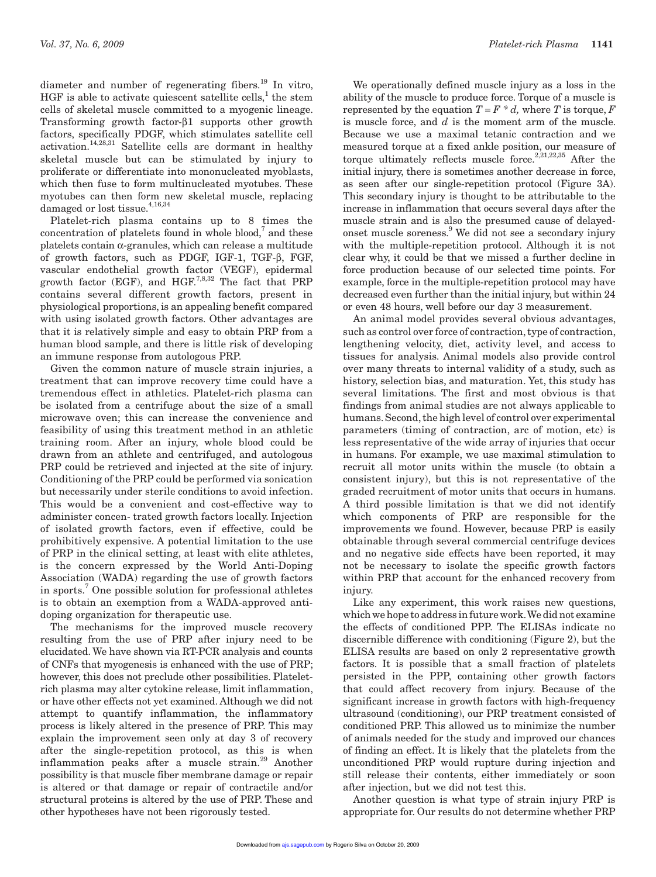diameter and number of regenerating fibers. $^{19}$  In vitro, HGF is able to activate quiescent satellite cells,<sup>1</sup> the stem cells of skeletal muscle committed to a myogenic lineage. Transforming growth factor- $\beta$ 1 supports other growth factors, specifically PDGF, which stimulates satellite cell activation.14,28,31 Satellite cells are dormant in healthy skeletal muscle but can be stimulated by injury to proliferate or differentiate into mononucleated myoblasts, which then fuse to form multinucleated myotubes. These myotubes can then form new skeletal muscle, replacing damaged or lost tissue.<sup>4,16,34</sup>

Platelet-rich plasma contains up to 8 times the  $concentration of platelets found in whole blood, and these$ platelets contain  $\alpha$ -granules, which can release a multitude of growth factors, such as PDGF, IGF-1, TGF-B, FGF, vascular endothelial growth factor (VEGF), epidermal growth factor (EGF), and  $HGF^{7,8,32}$  The fact that PRP contains several different growth factors, present in physiological proportions, is an appealing benefit compared with using isolated growth factors. Other advantages are that it is relatively simple and easy to obtain PRP from a human blood sample, and there is little risk of developing an immune response from autologous PRP.

Given the common nature of muscle strain injuries, a treatment that can improve recovery time could have a tremendous effect in athletics. Platelet-rich plasma can be isolated from a centrifuge about the size of a small microwave oven; this can increase the convenience and feasibility of using this treatment method in an athletic training room. After an injury, whole blood could be drawn from an athlete and centrifuged, and autologous PRP could be retrieved and injected at the site of injury. Conditioning of the PRP could be performed via sonication but necessarily under sterile conditions to avoid infection. This would be a convenient and cost-effective way to administer concen- trated growth factors locally. Injection of isolated growth factors, even if effective, could be prohibitively expensive. A potential limitation to the use of PRP in the clinical setting, at least with elite athletes, is the concern expressed by the World Anti-Doping Association (WADA) regarding the use of growth factors in sports.<sup>7</sup> One possible solution for professional athletes is to obtain an exemption from a WADA-approved antidoping organization for therapeutic use.

The mechanisms for the improved muscle recovery resulting from the use of PRP after injury need to be elucidated. We have shown via RT-PCR analysis and counts of CNFs that myogenesis is enhanced with the use of PRP; however, this does not preclude other possibilities. Plateletrich plasma may alter cytokine release, limit inflammation, or have other effects not yet examined. Although we did not attempt to quantify inflammation, the inflammatory process is likely altered in the presence of PRP. This may explain the improvement seen only at day 3 of recovery after the single-repetition protocol, as this is when inflammation peaks after a muscle strain.<sup>29</sup> Another possibility is that muscle fiber membrane damage or repair is altered or that damage or repair of contractile and/or structural proteins is altered by the use of PRP. These and other hypotheses have not been rigorously tested.

We operationally defined muscle injury as a loss in the ability of the muscle to produce force. Torque of a muscle is represented by the equation  $T = F * d$ , where *T* is torque, *F* is muscle force, and *d* is the moment arm of the muscle. Because we use a maximal tetanic contraction and we measured torque at a fixed ankle position, our measure of torque ultimately reflects muscle force.<sup>2,21,22,35</sup> After the initial injury, there is sometimes another decrease in force, as seen after our single-repetition protocol (Figure 3A). This secondary injury is thought to be attributable to the increase in inflammation that occurs several days after the muscle strain and is also the presumed cause of delayedonset muscle soreness.<sup>9</sup> We did not see a secondary injury with the multiple-repetition protocol. Although it is not clear why, it could be that we missed a further decline in force production because of our selected time points. For example, force in the multiple-repetition protocol may have decreased even further than the initial injury, but within 24 or even 48 hours, well before our day 3 measurement.

An animal model provides several obvious advantages, such as control over force of contraction, type of contraction, lengthening velocity, diet, activity level, and access to tissues for analysis. Animal models also provide control over many threats to internal validity of a study, such as history, selection bias, and maturation. Yet, this study has several limitations. The first and most obvious is that findings from animal studies are not always applicable to humans. Second, the high level of control over experimental parameters (timing of contraction, arc of motion, etc) is less representative of the wide array of injuries that occur in humans. For example, we use maximal stimulation to recruit all motor units within the muscle (to obtain a consistent injury), but this is not representative of the graded recruitment of motor units that occurs in humans. A third possible limitation is that we did not identify which components of PRP are responsible for the improvements we found. However, because PRP is easily obtainable through several commercial centrifuge devices and no negative side effects have been reported, it may not be necessary to isolate the specific growth factors within PRP that account for the enhanced recovery from injury.

Like any experiment, this work raises new questions, which we hope to address in future work. We did not examine the effects of conditioned PPP. The ELISAs indicate no discernible difference with conditioning (Figure 2), but the ELISA results are based on only 2 representative growth factors. It is possible that a small fraction of platelets persisted in the PPP, containing other growth factors that could affect recovery from injury. Because of the significant increase in growth factors with high-frequency ultrasound (conditioning), our PRP treatment consisted of conditioned PRP. This allowed us to minimize the number of animals needed for the study and improved our chances of finding an effect. It is likely that the platelets from the unconditioned PRP would rupture during injection and still release their contents, either immediately or soon after injection, but we did not test this.

Another question is what type of strain injury PRP is appropriate for. Our results do not determine whether PRP